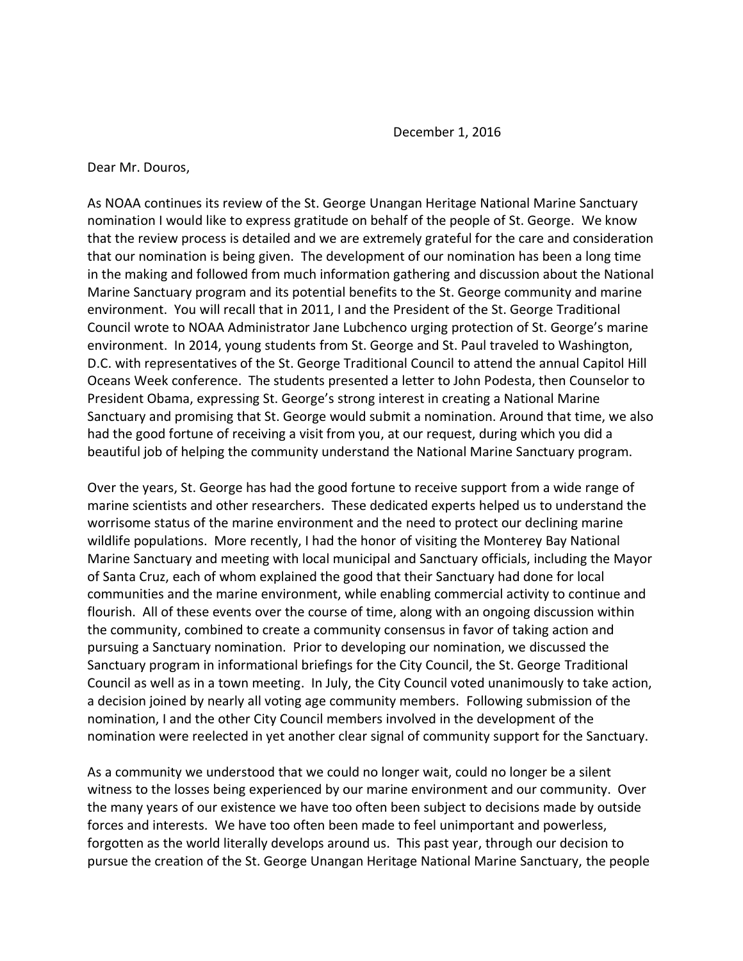December 1, 2016

Dear Mr. Douros,

As NOAA continues its review of the St. George Unangan Heritage National Marine Sanctuary nomination I would like to express gratitude on behalf of the people of St. George. We know that the review process is detailed and we are extremely grateful for the care and consideration that our nomination is being given. The development of our nomination has been a long time in the making and followed from much information gathering and discussion about the National Marine Sanctuary program and its potential benefits to the St. George community and marine environment. You will recall that in 2011, I and the President of the St. George Traditional Council wrote to NOAA Administrator Jane Lubchenco urging protection of St. George's marine environment. In 2014, young students from St. George and St. Paul traveled to Washington, D.C. with representatives of the St. George Traditional Council to attend the annual Capitol Hill Oceans Week conference. The students presented a letter to John Podesta, then Counselor to President Obama, expressing St. George's strong interest in creating a National Marine Sanctuary and promising that St. George would submit a nomination. Around that time, we also had the good fortune of receiving a visit from you, at our request, during which you did a beautiful job of helping the community understand the National Marine Sanctuary program.

Over the years, St. George has had the good fortune to receive support from a wide range of marine scientists and other researchers. These dedicated experts helped us to understand the worrisome status of the marine environment and the need to protect our declining marine wildlife populations. More recently, I had the honor of visiting the Monterey Bay National Marine Sanctuary and meeting with local municipal and Sanctuary officials, including the Mayor of Santa Cruz, each of whom explained the good that their Sanctuary had done for local communities and the marine environment, while enabling commercial activity to continue and flourish. All of these events over the course of time, along with an ongoing discussion within the community, combined to create a community consensus in favor of taking action and pursuing a Sanctuary nomination. Prior to developing our nomination, we discussed the Sanctuary program in informational briefings for the City Council, the St. George Traditional Council as well as in a town meeting. In July, the City Council voted unanimously to take action, a decision joined by nearly all voting age community members. Following submission of the nomination, I and the other City Council members involved in the development of the nomination were reelected in yet another clear signal of community support for the Sanctuary.

As a community we understood that we could no longer wait, could no longer be a silent witness to the losses being experienced by our marine environment and our community. Over the many years of our existence we have too often been subject to decisions made by outside forces and interests. We have too often been made to feel unimportant and powerless, forgotten as the world literally develops around us. This past year, through our decision to pursue the creation of the St. George Unangan Heritage National Marine Sanctuary, the people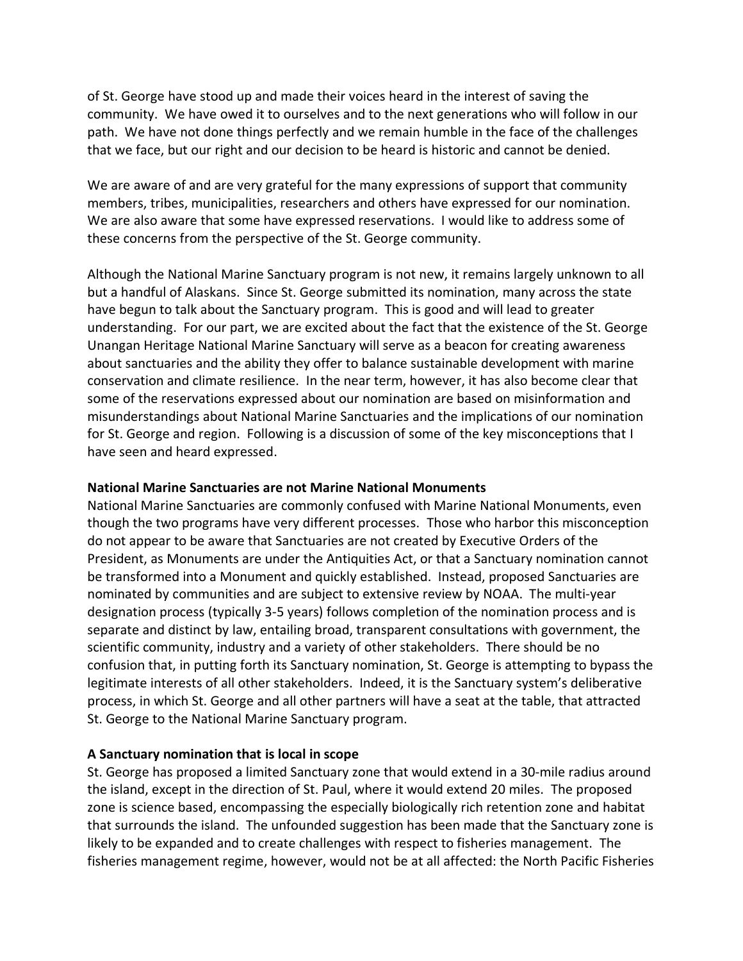of St. George have stood up and made their voices heard in the interest of saving the community. We have owed it to ourselves and to the next generations who will follow in our path. We have not done things perfectly and we remain humble in the face of the challenges that we face, but our right and our decision to be heard is historic and cannot be denied.

We are aware of and are very grateful for the many expressions of support that community members, tribes, municipalities, researchers and others have expressed for our nomination. We are also aware that some have expressed reservations. I would like to address some of these concerns from the perspective of the St. George community.

Although the National Marine Sanctuary program is not new, it remains largely unknown to all but a handful of Alaskans. Since St. George submitted its nomination, many across the state have begun to talk about the Sanctuary program. This is good and will lead to greater understanding. For our part, we are excited about the fact that the existence of the St. George Unangan Heritage National Marine Sanctuary will serve as a beacon for creating awareness about sanctuaries and the ability they offer to balance sustainable development with marine conservation and climate resilience. In the near term, however, it has also become clear that some of the reservations expressed about our nomination are based on misinformation and misunderstandings about National Marine Sanctuaries and the implications of our nomination for St. George and region. Following is a discussion of some of the key misconceptions that I have seen and heard expressed.

#### **National Marine Sanctuaries are not Marine National Monuments**

National Marine Sanctuaries are commonly confused with Marine National Monuments, even though the two programs have very different processes. Those who harbor this misconception do not appear to be aware that Sanctuaries are not created by Executive Orders of the President, as Monuments are under the Antiquities Act, or that a Sanctuary nomination cannot be transformed into a Monument and quickly established. Instead, proposed Sanctuaries are nominated by communities and are subject to extensive review by NOAA. The multi-year designation process (typically 3-5 years) follows completion of the nomination process and is separate and distinct by law, entailing broad, transparent consultations with government, the scientific community, industry and a variety of other stakeholders. There should be no confusion that, in putting forth its Sanctuary nomination, St. George is attempting to bypass the legitimate interests of all other stakeholders. Indeed, it is the Sanctuary system's deliberative process, in which St. George and all other partners will have a seat at the table, that attracted St. George to the National Marine Sanctuary program.

## **A Sanctuary nomination that is local in scope**

St. George has proposed a limited Sanctuary zone that would extend in a 30-mile radius around the island, except in the direction of St. Paul, where it would extend 20 miles. The proposed zone is science based, encompassing the especially biologically rich retention zone and habitat that surrounds the island. The unfounded suggestion has been made that the Sanctuary zone is likely to be expanded and to create challenges with respect to fisheries management. The fisheries management regime, however, would not be at all affected: the North Pacific Fisheries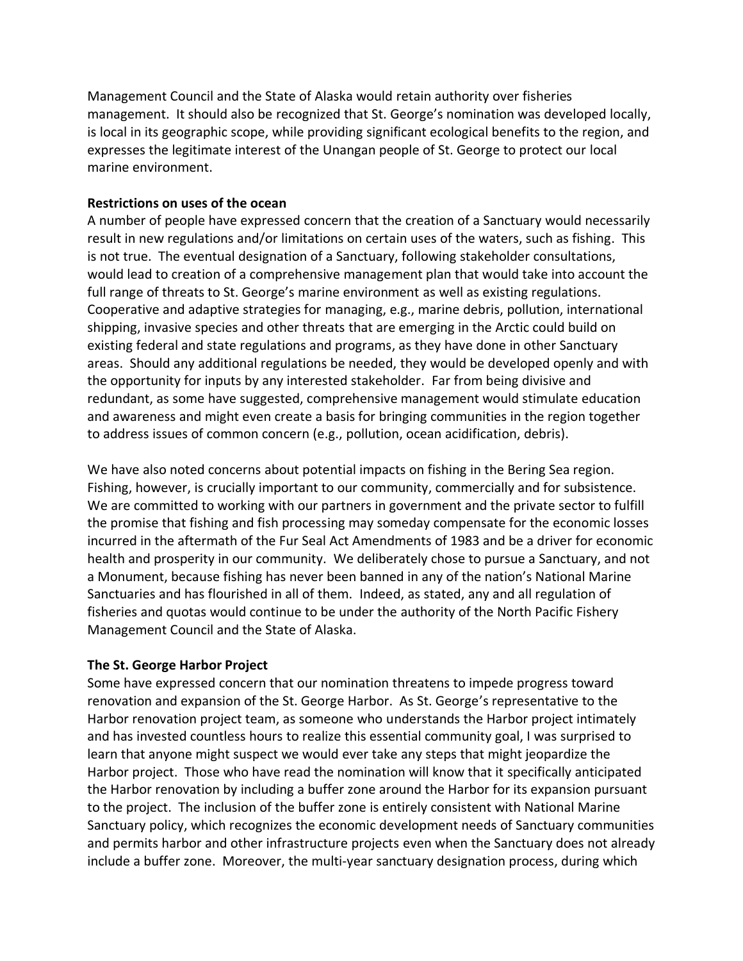Management Council and the State of Alaska would retain authority over fisheries management. It should also be recognized that St. George's nomination was developed locally, is local in its geographic scope, while providing significant ecological benefits to the region, and expresses the legitimate interest of the Unangan people of St. George to protect our local marine environment.

## **Restrictions on uses of the ocean**

A number of people have expressed concern that the creation of a Sanctuary would necessarily result in new regulations and/or limitations on certain uses of the waters, such as fishing. This is not true. The eventual designation of a Sanctuary, following stakeholder consultations, would lead to creation of a comprehensive management plan that would take into account the full range of threats to St. George's marine environment as well as existing regulations. Cooperative and adaptive strategies for managing, e.g., marine debris, pollution, international shipping, invasive species and other threats that are emerging in the Arctic could build on existing federal and state regulations and programs, as they have done in other Sanctuary areas. Should any additional regulations be needed, they would be developed openly and with the opportunity for inputs by any interested stakeholder. Far from being divisive and redundant, as some have suggested, comprehensive management would stimulate education and awareness and might even create a basis for bringing communities in the region together to address issues of common concern (e.g., pollution, ocean acidification, debris).

We have also noted concerns about potential impacts on fishing in the Bering Sea region. Fishing, however, is crucially important to our community, commercially and for subsistence. We are committed to working with our partners in government and the private sector to fulfill the promise that fishing and fish processing may someday compensate for the economic losses incurred in the aftermath of the Fur Seal Act Amendments of 1983 and be a driver for economic health and prosperity in our community. We deliberately chose to pursue a Sanctuary, and not a Monument, because fishing has never been banned in any of the nation's National Marine Sanctuaries and has flourished in all of them. Indeed, as stated, any and all regulation of fisheries and quotas would continue to be under the authority of the North Pacific Fishery Management Council and the State of Alaska.

# **The St. George Harbor Project**

Some have expressed concern that our nomination threatens to impede progress toward renovation and expansion of the St. George Harbor. As St. George's representative to the Harbor renovation project team, as someone who understands the Harbor project intimately and has invested countless hours to realize this essential community goal, I was surprised to learn that anyone might suspect we would ever take any steps that might jeopardize the Harbor project. Those who have read the nomination will know that it specifically anticipated the Harbor renovation by including a buffer zone around the Harbor for its expansion pursuant to the project. The inclusion of the buffer zone is entirely consistent with National Marine Sanctuary policy, which recognizes the economic development needs of Sanctuary communities and permits harbor and other infrastructure projects even when the Sanctuary does not already include a buffer zone. Moreover, the multi-year sanctuary designation process, during which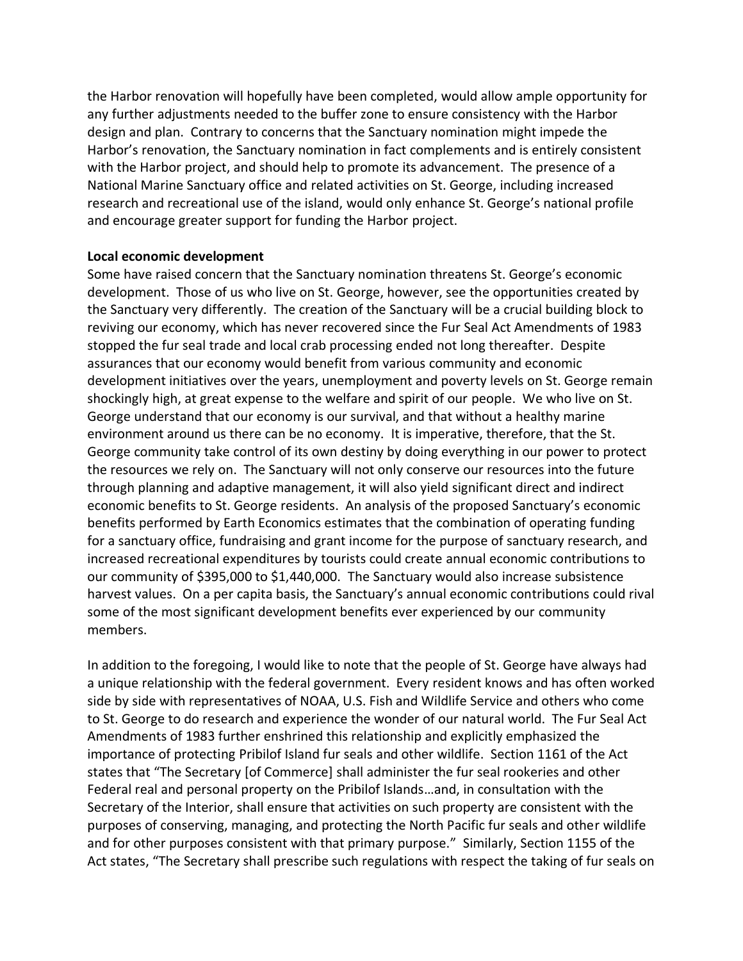the Harbor renovation will hopefully have been completed, would allow ample opportunity for any further adjustments needed to the buffer zone to ensure consistency with the Harbor design and plan. Contrary to concerns that the Sanctuary nomination might impede the Harbor's renovation, the Sanctuary nomination in fact complements and is entirely consistent with the Harbor project, and should help to promote its advancement. The presence of a National Marine Sanctuary office and related activities on St. George, including increased research and recreational use of the island, would only enhance St. George's national profile and encourage greater support for funding the Harbor project.

#### **Local economic development**

Some have raised concern that the Sanctuary nomination threatens St. George's economic development. Those of us who live on St. George, however, see the opportunities created by the Sanctuary very differently. The creation of the Sanctuary will be a crucial building block to reviving our economy, which has never recovered since the Fur Seal Act Amendments of 1983 stopped the fur seal trade and local crab processing ended not long thereafter. Despite assurances that our economy would benefit from various community and economic development initiatives over the years, unemployment and poverty levels on St. George remain shockingly high, at great expense to the welfare and spirit of our people. We who live on St. George understand that our economy is our survival, and that without a healthy marine environment around us there can be no economy. It is imperative, therefore, that the St. George community take control of its own destiny by doing everything in our power to protect the resources we rely on. The Sanctuary will not only conserve our resources into the future through planning and adaptive management, it will also yield significant direct and indirect economic benefits to St. George residents. An analysis of the proposed Sanctuary's economic benefits performed by Earth Economics estimates that the combination of operating funding for a sanctuary office, fundraising and grant income for the purpose of sanctuary research, and increased recreational expenditures by tourists could create annual economic contributions to our community of \$395,000 to \$1,440,000. The Sanctuary would also increase subsistence harvest values. On a per capita basis, the Sanctuary's annual economic contributions could rival some of the most significant development benefits ever experienced by our community members.

In addition to the foregoing, I would like to note that the people of St. George have always had a unique relationship with the federal government. Every resident knows and has often worked side by side with representatives of NOAA, U.S. Fish and Wildlife Service and others who come to St. George to do research and experience the wonder of our natural world. The Fur Seal Act Amendments of 1983 further enshrined this relationship and explicitly emphasized the importance of protecting Pribilof Island fur seals and other wildlife. Section 1161 of the Act states that "The Secretary [of Commerce] shall administer the fur seal rookeries and other Federal real and personal property on the Pribilof Islands…and, in consultation with the Secretary of the Interior, shall ensure that activities on such property are consistent with the purposes of conserving, managing, and protecting the North Pacific fur seals and other wildlife and for other purposes consistent with that primary purpose." Similarly, Section 1155 of the Act states, "The Secretary shall prescribe such regulations with respect the taking of fur seals on